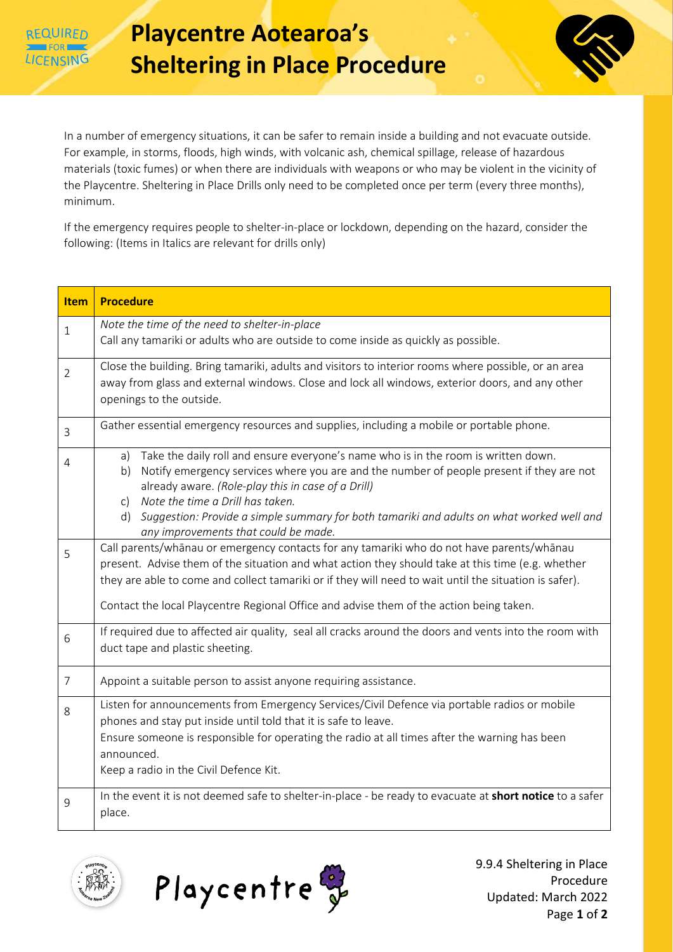REQUIRED



In a number of emergency situations, it can be safer to remain inside a building and not evacuate outside. For example, in storms, floods, high winds, with volcanic ash, chemical spillage, release of hazardous materials (toxic fumes) or when there are individuals with weapons or who may be violent in the vicinity of the Playcentre. Sheltering in Place Drills only need to be completed once per term (every three months), minimum.

If the emergency requires people to shelter-in-place or lockdown, depending on the hazard, consider the following: (Items in Italics are relevant for drills only)

| Item           | <b>Procedure</b>                                                                                                                                                                                                                                                                                                                                                                                                                                |  |  |
|----------------|-------------------------------------------------------------------------------------------------------------------------------------------------------------------------------------------------------------------------------------------------------------------------------------------------------------------------------------------------------------------------------------------------------------------------------------------------|--|--|
| $\mathbf{1}$   | Note the time of the need to shelter-in-place<br>Call any tamariki or adults who are outside to come inside as quickly as possible.                                                                                                                                                                                                                                                                                                             |  |  |
| $\overline{2}$ | Close the building. Bring tamariki, adults and visitors to interior rooms where possible, or an area<br>away from glass and external windows. Close and lock all windows, exterior doors, and any other<br>openings to the outside.                                                                                                                                                                                                             |  |  |
| 3              | Gather essential emergency resources and supplies, including a mobile or portable phone.                                                                                                                                                                                                                                                                                                                                                        |  |  |
| 4              | Take the daily roll and ensure everyone's name who is in the room is written down.<br>a)<br>Notify emergency services where you are and the number of people present if they are not<br>b)<br>already aware. (Role-play this in case of a Drill)<br>Note the time a Drill has taken.<br>C)<br>Suggestion: Provide a simple summary for both tamariki and adults on what worked well and<br>$\mathsf{d}$<br>any improvements that could be made. |  |  |
| 5              | Call parents/whānau or emergency contacts for any tamariki who do not have parents/whānau<br>present. Advise them of the situation and what action they should take at this time (e.g. whether<br>they are able to come and collect tamariki or if they will need to wait until the situation is safer).<br>Contact the local Playcentre Regional Office and advise them of the action being taken.                                             |  |  |
| 6              | If required due to affected air quality, seal all cracks around the doors and vents into the room with<br>duct tape and plastic sheeting.                                                                                                                                                                                                                                                                                                       |  |  |
| $\overline{7}$ | Appoint a suitable person to assist anyone requiring assistance.                                                                                                                                                                                                                                                                                                                                                                                |  |  |
| 8              | Listen for announcements from Emergency Services/Civil Defence via portable radios or mobile<br>phones and stay put inside until told that it is safe to leave.<br>Ensure someone is responsible for operating the radio at all times after the warning has been<br>announced.<br>Keep a radio in the Civil Defence Kit.                                                                                                                        |  |  |
| 9              | In the event it is not deemed safe to shelter-in-place - be ready to evacuate at short notice to a safer<br>place.                                                                                                                                                                                                                                                                                                                              |  |  |